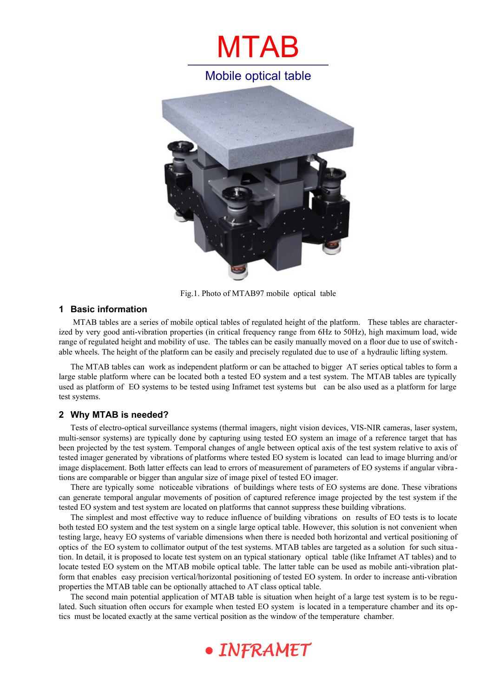



Fig.1. Photo of MTAB97 mobile optical table

#### **1 Basic information**

 MTAB tables are a series of mobile optical tables of regulated height of the platform. These tables are characterized by very good anti-vibration properties (in critical frequency range from 6Hz to 50Hz), high maximum load, wide range of regulated height and mobility of use. The tables can be easily manually moved on a floor due to use of switchable wheels. The height of the platform can be easily and precisely regulated due to use of a hydraulic lifting system.

The MTAB tables can work as independent platform or can be attached to bigger AT series optical tables to form a large stable platform where can be located both a tested EO system and a test system. The MTAB tables are typically used as platform of EO systems to be tested using Inframet test systems but can be also used as a platform for large test systems.

#### **2 Why MTAB is needed?**

Tests of electro-optical surveillance systems (thermal imagers, night vision devices, VIS-NIR cameras, laser system, multi-sensor systems) are typically done by capturing using tested EO system an image of a reference target that has been projected by the test system. Temporal changes of angle between optical axis of the test system relative to axis of tested imager generated by vibrations of platforms where tested EO system is located can lead to image blurring and/or image displacement. Both latter effects can lead to errors of measurement of parameters of EO systems if angular vibra tions are comparable or bigger than angular size of image pixel of tested EO imager.

There are typically some noticeable vibrations of buildings where tests of EO systems are done. These vibrations can generate temporal angular movements of position of captured reference image projected by the test system if the tested EO system and test system are located on platforms that cannot suppress these building vibrations.

The simplest and most effective way to reduce influence of building vibrations on results of EO tests is to locate both tested EO system and the test system on a single large optical table. However, this solution is not convenient when testing large, heavy EO systems of variable dimensions when there is needed both horizontal and vertical positioning of optics of the EO system to collimator output of the test systems. MTAB tables are targeted as a solution for such situa tion. In detail, it is proposed to locate test system on an typical stationary optical table (like Inframet AT tables) and to locate tested EO system on the MTAB mobile optical table. The latter table can be used as mobile anti-vibration platform that enables easy precision vertical/horizontal positioning of tested EO system. In order to increase anti-vibration properties the MTAB table can be optionally attached to AT class optical table.

The second main potential application of MTAB table is situation when height of a large test system is to be regulated. Such situation often occurs for example when tested EO system is located in a temperature chamber and its optics must be located exactly at the same vertical position as the window of the temperature chamber.

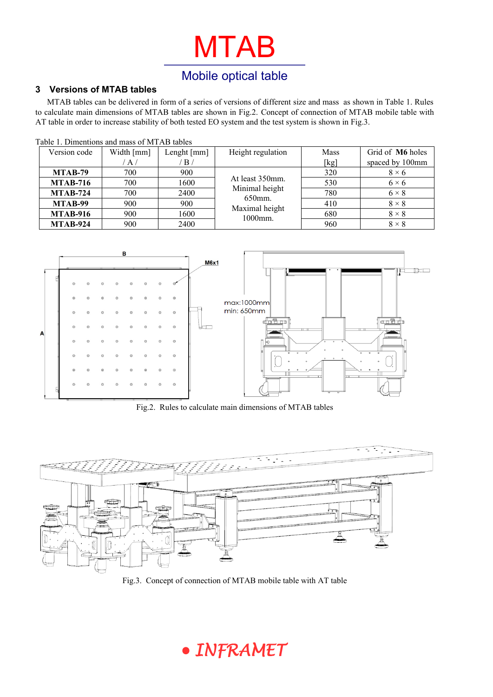# MTAB

### Mobile optical table

#### **3 Versions of MTAB tables**

MTAB tables can be delivered in form of a series of versions of different size and mass as shown in Table 1. Rules to calculate main dimensions of MTAB tables are shown in Fig.2. Concept of connection of MTAB mobile table with AT table in order to increase stability of both tested EO system and the test system is shown in Fig.3.

| Table 1. Dimentions and mass of MTAB tables |            |                             |                                                                             |             |                  |  |
|---------------------------------------------|------------|-----------------------------|-----------------------------------------------------------------------------|-------------|------------------|--|
| Version code                                | Width [mm] | Lenght ${\lceil mm \rceil}$ | Height regulation                                                           | <b>Mass</b> | Grid of M6 holes |  |
|                                             | A/         | $\mathbf{B}$                |                                                                             | [kg]        | spaced by 100mm  |  |
| MTAB-79                                     | 700        | 900                         | At least 350mm.<br>Minimal height<br>650mm.<br>Maximal height<br>$1000$ mm. | 320         | $8 \times 6$     |  |
| <b>MTAB-716</b>                             | 700        | 1600                        |                                                                             | 530         | $6 \times 6$     |  |
| <b>MTAB-724</b>                             | 700        | 2400                        |                                                                             | 780         | $6 \times 8$     |  |
| MTAB-99                                     | 900        | 900                         |                                                                             | 410         | $8 \times 8$     |  |
| <b>MTAB-916</b>                             | 900        | 1600                        |                                                                             | 680         | $8 \times 8$     |  |
| <b>MTAB-924</b>                             | 900        | 2400                        |                                                                             | 960         | $8 \times 8$     |  |



Fig.2. Rules to calculate main dimensions of MTAB tables



Fig.3. Concept of connection of MTAB mobile table with AT table